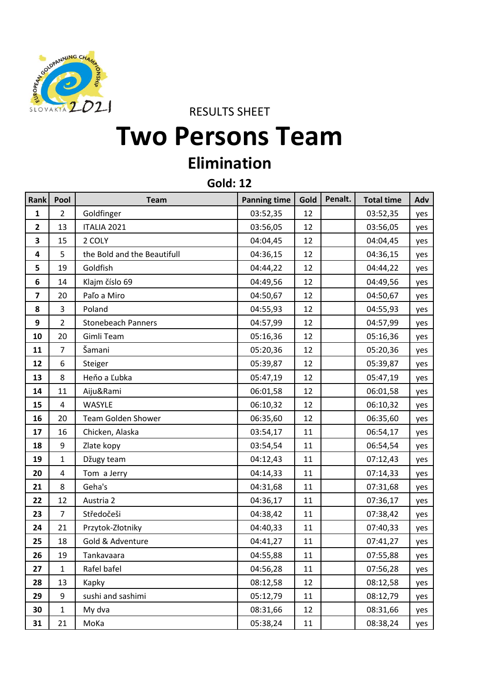

RESULTS SHEET

## **Two Persons Team**

## **Elimination**

**Gold: 12**

| <b>Rank</b>             | Pool           | <b>Team</b>                 | <b>Panning time</b> | Gold | Penalt. | <b>Total time</b> | Adv |
|-------------------------|----------------|-----------------------------|---------------------|------|---------|-------------------|-----|
| 1                       | $\overline{2}$ | Goldfinger                  | 03:52,35            | 12   |         | 03:52,35          | yes |
| $\overline{\mathbf{2}}$ | 13             | ITALIA 2021                 | 03:56,05            | 12   |         | 03:56,05          | yes |
| 3                       | 15             | 2 COLY                      | 04:04,45            | 12   |         | 04:04,45          | yes |
| 4                       | 5              | the Bold and the Beautifull | 04:36,15            | 12   |         | 04:36,15          | yes |
| 5                       | 19             | Goldfish                    | 04:44,22            | 12   |         | 04:44,22          | yes |
| $\bf 6$                 | 14             | Klajm číslo 69              | 04:49,56            | 12   |         | 04:49,56          | yes |
| $\overline{\mathbf{z}}$ | 20             | Paľo a Miro                 | 04:50,67            | 12   |         | 04:50,67          | yes |
| 8                       | 3              | Poland                      | 04:55,93            | 12   |         | 04:55,93          | yes |
| 9                       | 2              | <b>Stonebeach Panners</b>   | 04:57,99            | 12   |         | 04:57,99          | yes |
| 10                      | 20             | Gimli Team                  | 05:16,36            | 12   |         | 05:16,36          | yes |
| 11                      | $\overline{7}$ | Šamani                      | 05:20,36            | 12   |         | 05:20,36          | yes |
| 12                      | 6              | Steiger                     | 05:39,87            | 12   |         | 05:39,87          | yes |
| 13                      | 8              | Heňo a Ľubka                | 05:47,19            | 12   |         | 05:47,19          | yes |
| 14                      | 11             | Aiju&Rami                   | 06:01,58            | 12   |         | 06:01,58          | yes |
| 15                      | 4              | WASYLE                      | 06:10,32            | 12   |         | 06:10,32          | yes |
| 16                      | 20             | Team Golden Shower          | 06:35,60            | 12   |         | 06:35,60          | yes |
| 17                      | 16             | Chicken, Alaska             | 03:54,17            | 11   |         | 06:54,17          | yes |
| 18                      | 9              | Zlate kopy                  | 03:54,54            | 11   |         | 06:54,54          | yes |
| 19                      | 1              | Džugy team                  | 04:12,43            | 11   |         | 07:12,43          | yes |
| 20                      | 4              | Tom a Jerry                 | 04:14,33            | 11   |         | 07:14,33          | yes |
| 21                      | 8              | Geha's                      | 04:31,68            | 11   |         | 07:31,68          | yes |
| 22                      | 12             | Austria 2                   | 04:36,17            | 11   |         | 07:36,17          | yes |
| 23                      | $\overline{7}$ | Středočeši                  | 04:38,42            | 11   |         | 07:38,42          | yes |
| 24                      | 21             | Przytok-Złotniky            | 04:40,33            | 11   |         | 07:40,33          | yes |
| 25                      | 18             | Gold & Adventure            | 04:41,27            | 11   |         | 07:41,27          | yes |
| 26                      | 19             | Tankavaara                  | 04:55,88            | 11   |         | 07:55,88          | yes |
| 27                      | $\mathbf{1}$   | Rafel bafel                 | 04:56,28            | 11   |         | 07:56,28          | yes |
| 28                      | 13             | Kapky                       | 08:12,58            | 12   |         | 08:12,58          | yes |
| 29                      | 9              | sushi and sashimi           | 05:12,79            | 11   |         | 08:12,79          | yes |
| 30                      | $\mathbf{1}$   | My dva                      | 08:31,66            | 12   |         | 08:31,66          | yes |
| 31                      | 21             | MoKa                        | 05:38,24            | 11   |         | 08:38,24          | yes |